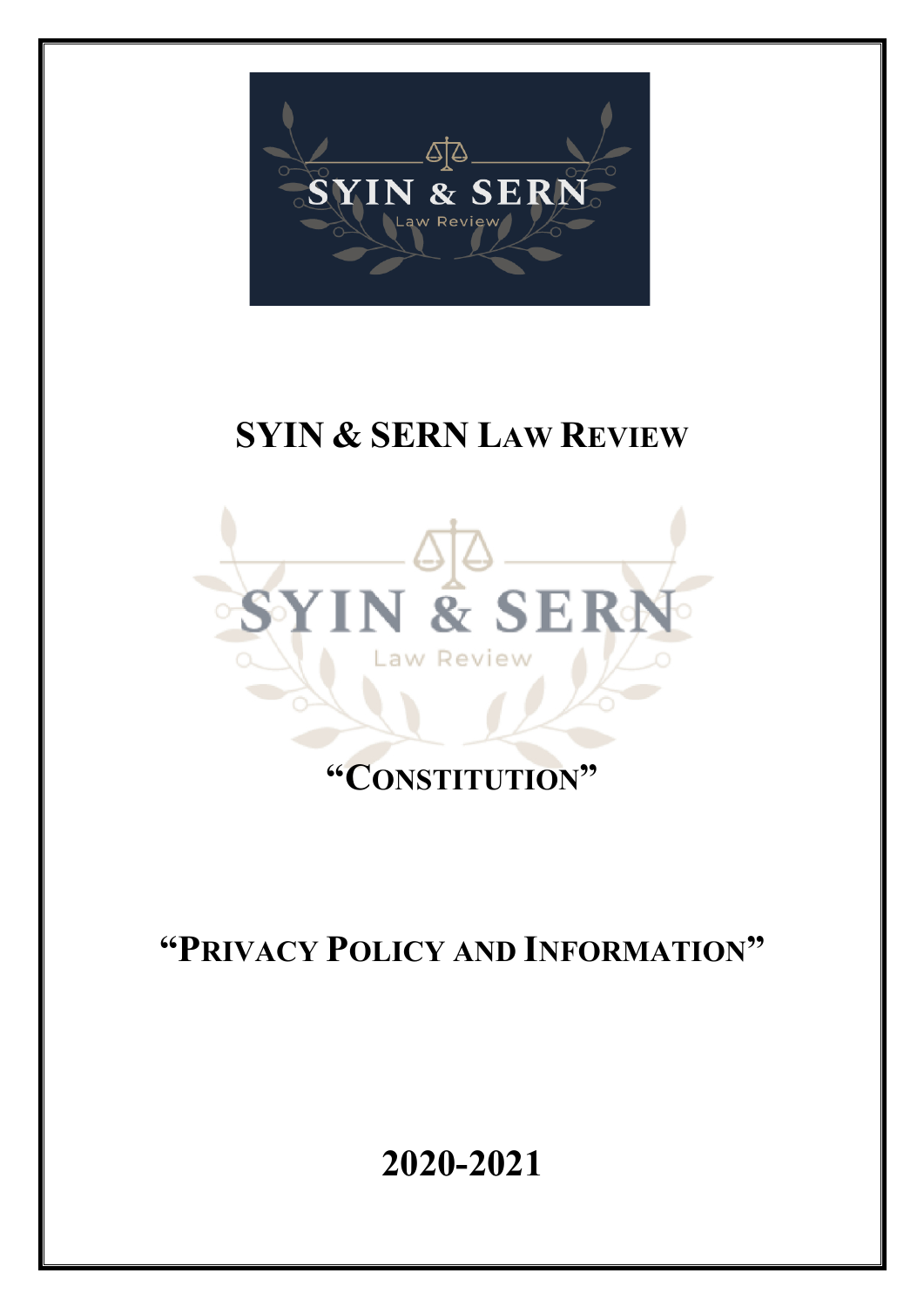

# **SYIN & SERN LAW REVIEW**



# **"CONSTITUTION"**

# **"PRIVACY POLICY AND INFORMATION"**

**2020-2021**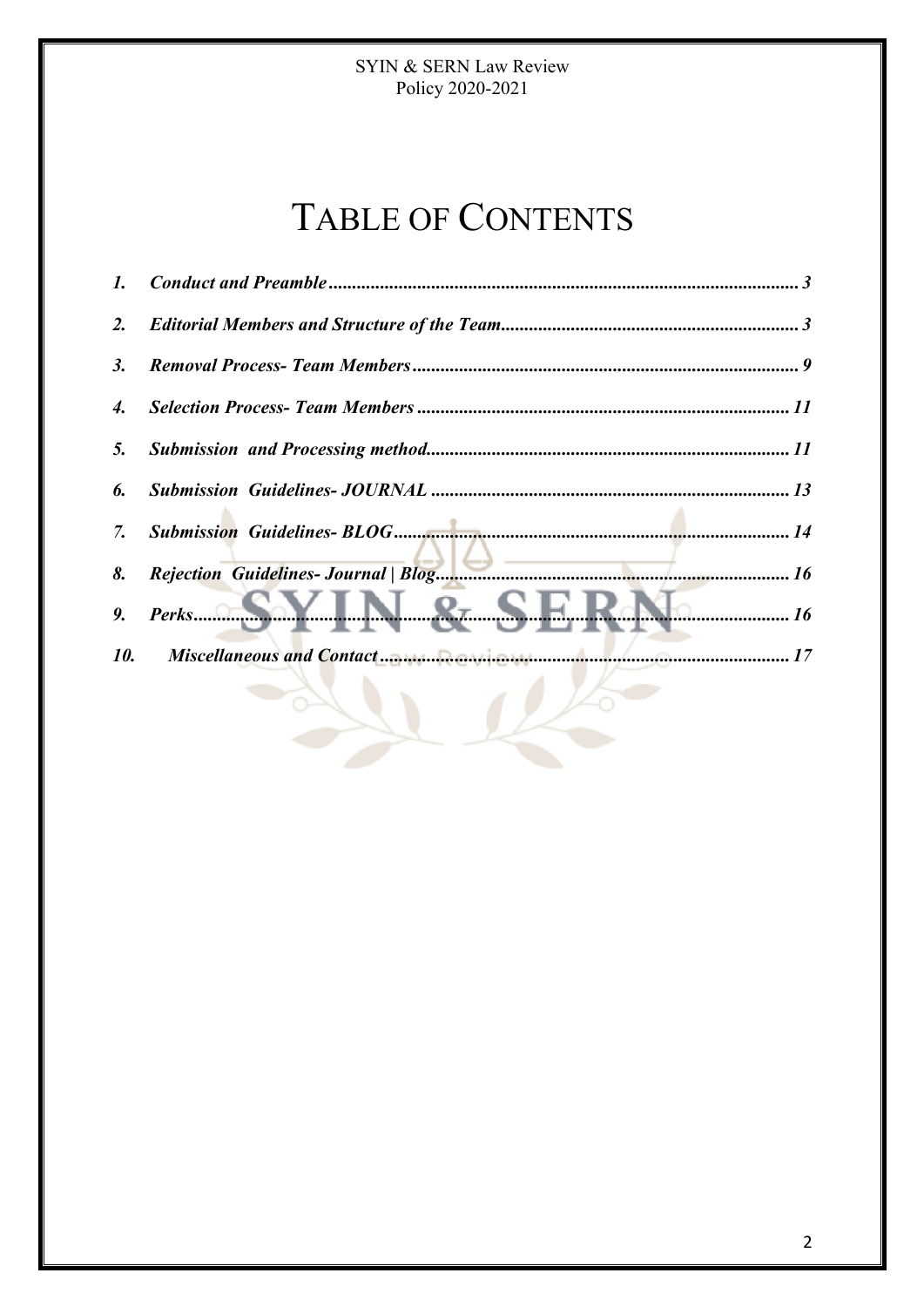# TABLE OF CONTENTS

| $\mathbf{I}$ . |                                                          |  |
|----------------|----------------------------------------------------------|--|
| 2.             |                                                          |  |
| 3.             |                                                          |  |
| 4.             |                                                          |  |
| 5.             |                                                          |  |
| 6.             |                                                          |  |
| 7.             |                                                          |  |
| 8.             |                                                          |  |
| 9.             | $Perks$ $\odot$ SY IN $\mathcal{R}_7$ SFI<br>$\cdots$ 16 |  |
| 10.            |                                                          |  |
|                |                                                          |  |

 $\rightarrow$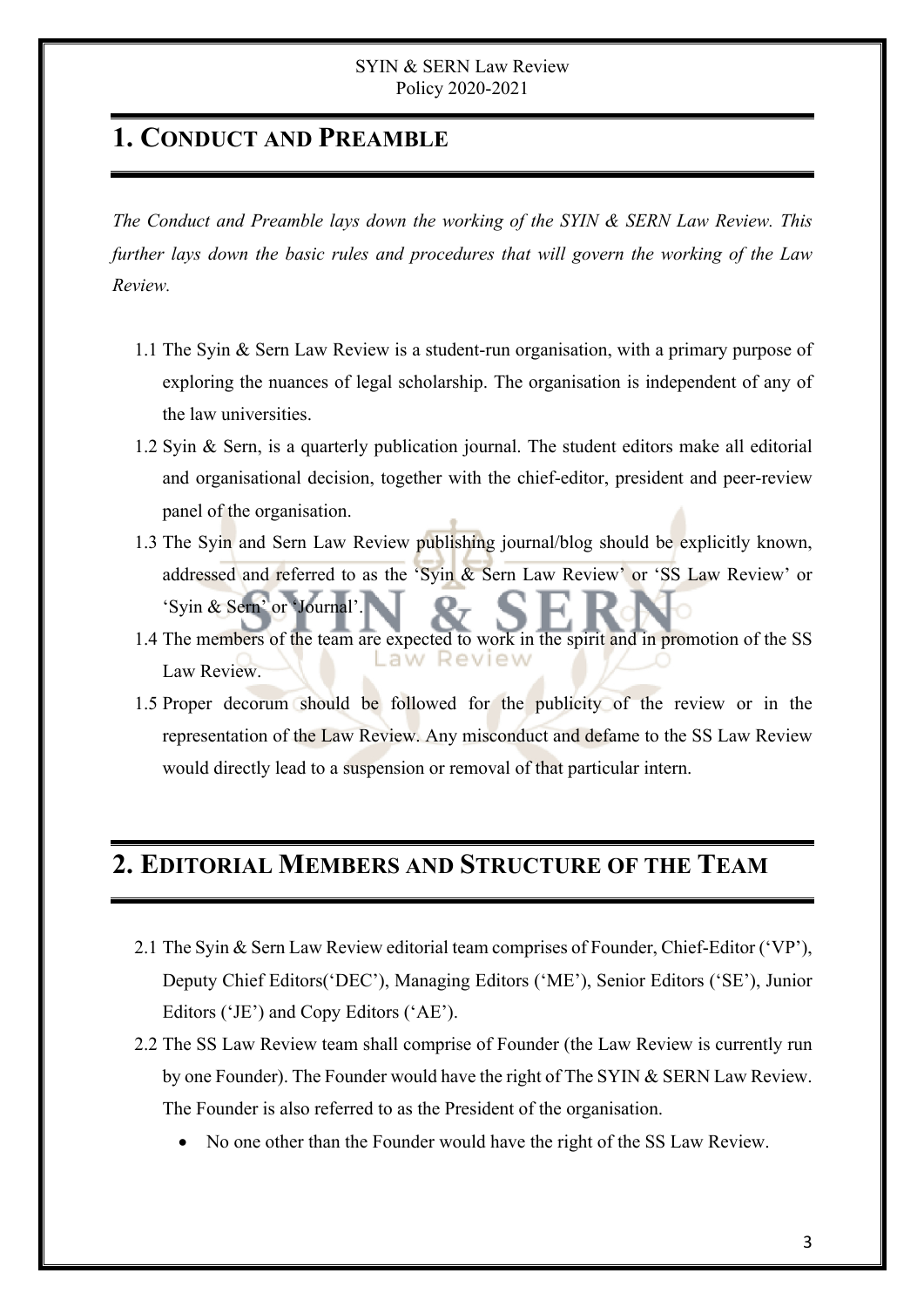## **1. CONDUCT AND PREAMBLE**

*The Conduct and Preamble lays down the working of the SYIN & SERN Law Review. This further lays down the basic rules and procedures that will govern the working of the Law Review.* 

- 1.1 The Syin & Sern Law Review is a student-run organisation, with a primary purpose of exploring the nuances of legal scholarship. The organisation is independent of any of the law universities.
- 1.2 Syin & Sern, is a quarterly publication journal. The student editors make all editorial and organisational decision, together with the chief-editor, president and peer-review panel of the organisation.
- 1.3 The Syin and Sern Law Review publishing journal/blog should be explicitly known, addressed and referred to as the 'Syin & Sern Law Review' or 'SS Law Review' or 'Syin & Sern' or 'Journal'.
- 1.4 The members of the team are expected to work in the spirit and in promotion of the SS aw Review. Law Review.
- 1.5 Proper decorum should be followed for the publicity of the review or in the representation of the Law Review. Any misconduct and defame to the SS Law Review would directly lead to a suspension or removal of that particular intern.

### **2. EDITORIAL MEMBERS AND STRUCTURE OF THE TEAM**

- 2.1 The Syin & Sern Law Review editorial team comprises of Founder, Chief-Editor ('VP'), Deputy Chief Editors('DEC'), Managing Editors ('ME'), Senior Editors ('SE'), Junior Editors ('JE') and Copy Editors ('AE').
- 2.2 The SS Law Review team shall comprise of Founder (the Law Review is currently run by one Founder). The Founder would have the right of The SYIN & SERN Law Review. The Founder is also referred to as the President of the organisation.
	- No one other than the Founder would have the right of the SS Law Review.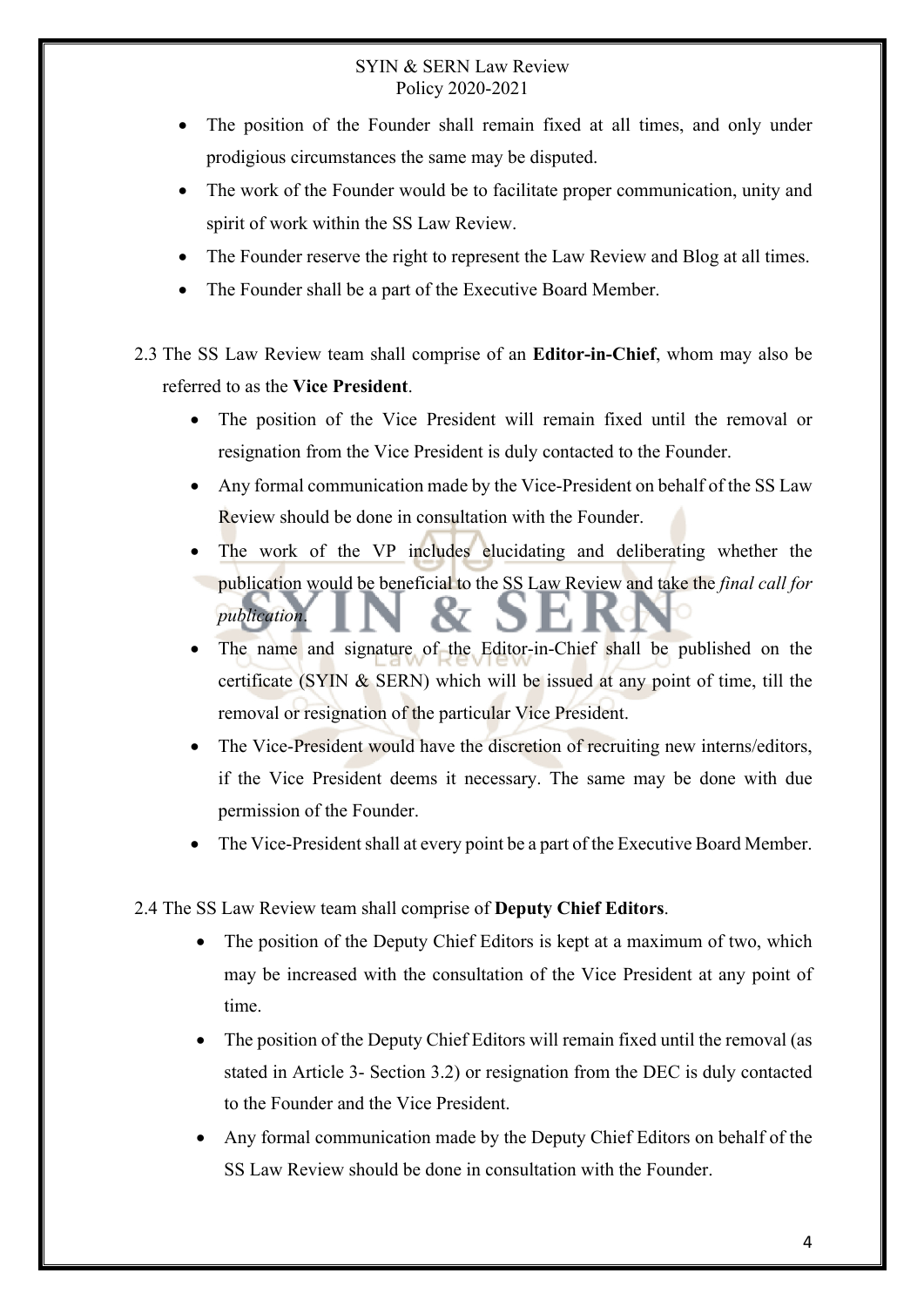- The position of the Founder shall remain fixed at all times, and only under prodigious circumstances the same may be disputed.
- The work of the Founder would be to facilitate proper communication, unity and spirit of work within the SS Law Review.
- The Founder reserve the right to represent the Law Review and Blog at all times.
- The Founder shall be a part of the Executive Board Member.
- 2.3 The SS Law Review team shall comprise of an **Editor-in-Chief**, whom may also be referred to as the **Vice President**.
	- The position of the Vice President will remain fixed until the removal or resignation from the Vice President is duly contacted to the Founder.
	- Any formal communication made by the Vice-President on behalf of the SS Law Review should be done in consultation with the Founder.
	- The work of the VP includes elucidating and deliberating whether the publication would be beneficial to the SS Law Review and take the *final call for publication*.
	- The name and signature of the Editor-in-Chief shall be published on the certificate (SYIN & SERN) which will be issued at any point of time, till the removal or resignation of the particular Vice President.
	- The Vice-President would have the discretion of recruiting new interns/editors, if the Vice President deems it necessary. The same may be done with due permission of the Founder.
	- The Vice-President shall at every point be a part of the Executive Board Member.
- 2.4 The SS Law Review team shall comprise of **Deputy Chief Editors**.
	- The position of the Deputy Chief Editors is kept at a maximum of two, which may be increased with the consultation of the Vice President at any point of time.
	- The position of the Deputy Chief Editors will remain fixed until the removal (as stated in Article 3- Section 3.2) or resignation from the DEC is duly contacted to the Founder and the Vice President.
	- Any formal communication made by the Deputy Chief Editors on behalf of the SS Law Review should be done in consultation with the Founder.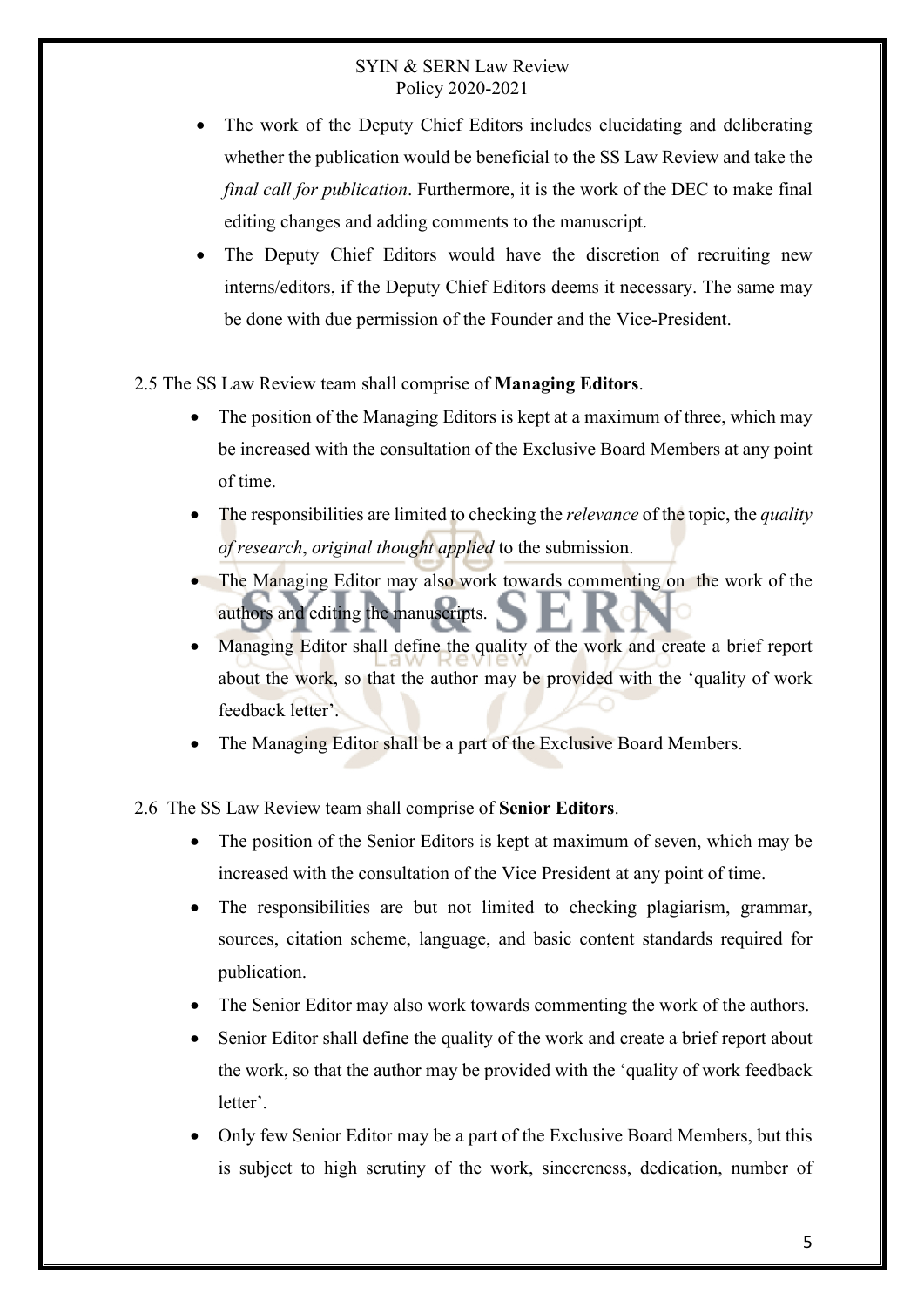- The work of the Deputy Chief Editors includes elucidating and deliberating whether the publication would be beneficial to the SS Law Review and take the *final call for publication*. Furthermore, it is the work of the DEC to make final editing changes and adding comments to the manuscript.
- The Deputy Chief Editors would have the discretion of recruiting new interns/editors, if the Deputy Chief Editors deems it necessary. The same may be done with due permission of the Founder and the Vice-President.
- 2.5 The SS Law Review team shall comprise of **Managing Editors**.
	- The position of the Managing Editors is kept at a maximum of three, which may be increased with the consultation of the Exclusive Board Members at any point of time.
	- The responsibilities are limited to checking the *relevance* of the topic, the *quality of research*, *original thought applied* to the submission.
	- The Managing Editor may also work towards commenting on the work of the authors and editing the manuscripts.
	- Managing Editor shall define the quality of the work and create a brief report about the work, so that the author may be provided with the 'quality of work feedback letter'.
	- The Managing Editor shall be a part of the Exclusive Board Members.
- 2.6 The SS Law Review team shall comprise of **Senior Editors**.
	- The position of the Senior Editors is kept at maximum of seven, which may be increased with the consultation of the Vice President at any point of time.
	- The responsibilities are but not limited to checking plagiarism, grammar, sources, citation scheme, language, and basic content standards required for publication.
	- The Senior Editor may also work towards commenting the work of the authors.
	- Senior Editor shall define the quality of the work and create a brief report about the work, so that the author may be provided with the 'quality of work feedback letter'.
	- Only few Senior Editor may be a part of the Exclusive Board Members, but this is subject to high scrutiny of the work, sincereness, dedication, number of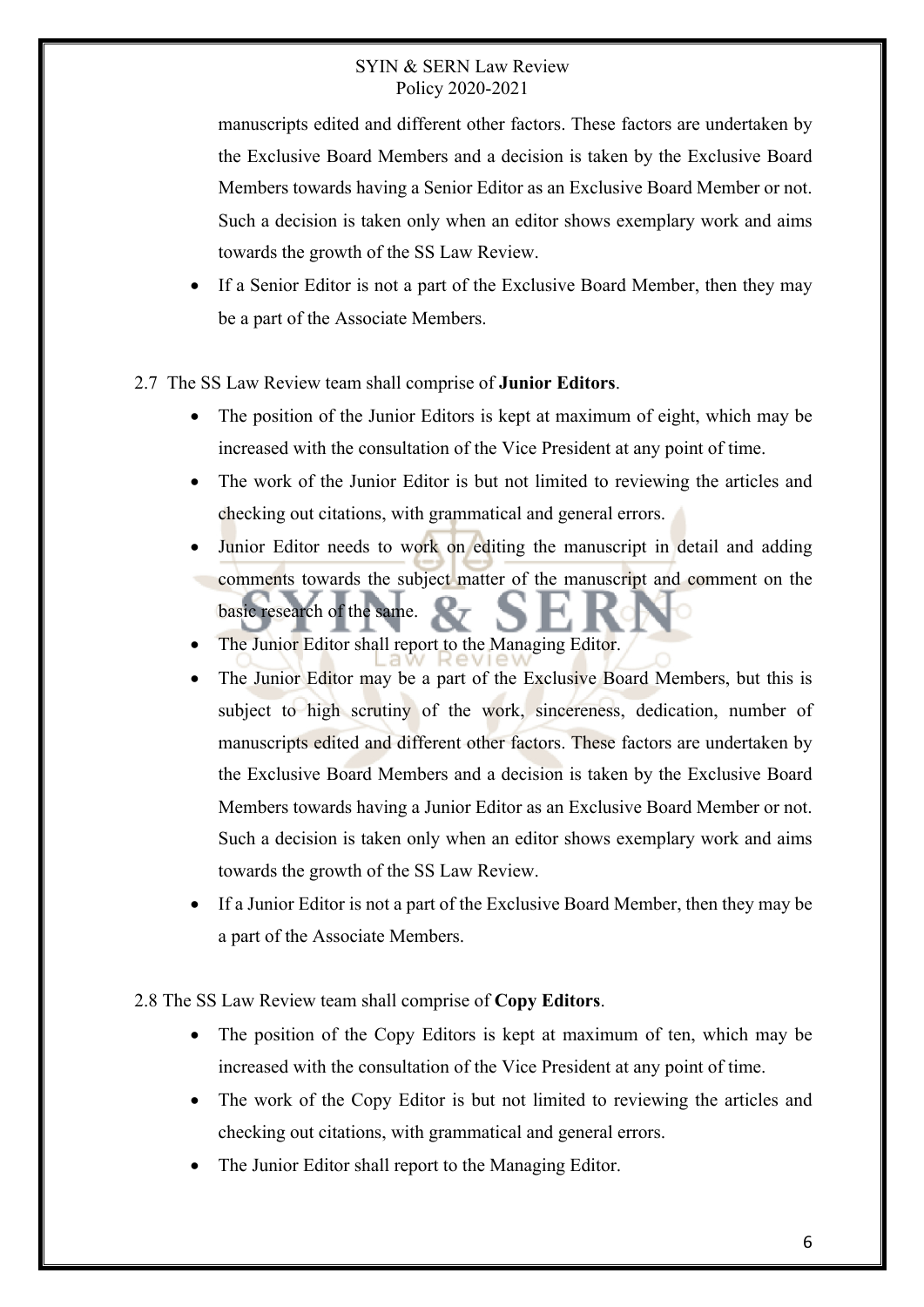manuscripts edited and different other factors. These factors are undertaken by the Exclusive Board Members and a decision is taken by the Exclusive Board Members towards having a Senior Editor as an Exclusive Board Member or not. Such a decision is taken only when an editor shows exemplary work and aims towards the growth of the SS Law Review.

- If a Senior Editor is not a part of the Exclusive Board Member, then they may be a part of the Associate Members.
- 2.7 The SS Law Review team shall comprise of **Junior Editors**.
	- The position of the Junior Editors is kept at maximum of eight, which may be increased with the consultation of the Vice President at any point of time.
	- The work of the Junior Editor is but not limited to reviewing the articles and checking out citations, with grammatical and general errors.
	- Junior Editor needs to work on editing the manuscript in detail and adding comments towards the subject matter of the manuscript and comment on the basic research of the same.
	- The Junior Editor shall report to the Managing Editor.
	- The Junior Editor may be a part of the Exclusive Board Members, but this is subject to high scrutiny of the work, sincereness, dedication, number of manuscripts edited and different other factors. These factors are undertaken by the Exclusive Board Members and a decision is taken by the Exclusive Board Members towards having a Junior Editor as an Exclusive Board Member or not. Such a decision is taken only when an editor shows exemplary work and aims towards the growth of the SS Law Review.
	- If a Junior Editor is not a part of the Exclusive Board Member, then they may be a part of the Associate Members.
- 2.8 The SS Law Review team shall comprise of **Copy Editors**.
	- The position of the Copy Editors is kept at maximum of ten, which may be increased with the consultation of the Vice President at any point of time.
	- The work of the Copy Editor is but not limited to reviewing the articles and checking out citations, with grammatical and general errors.
	- The Junior Editor shall report to the Managing Editor.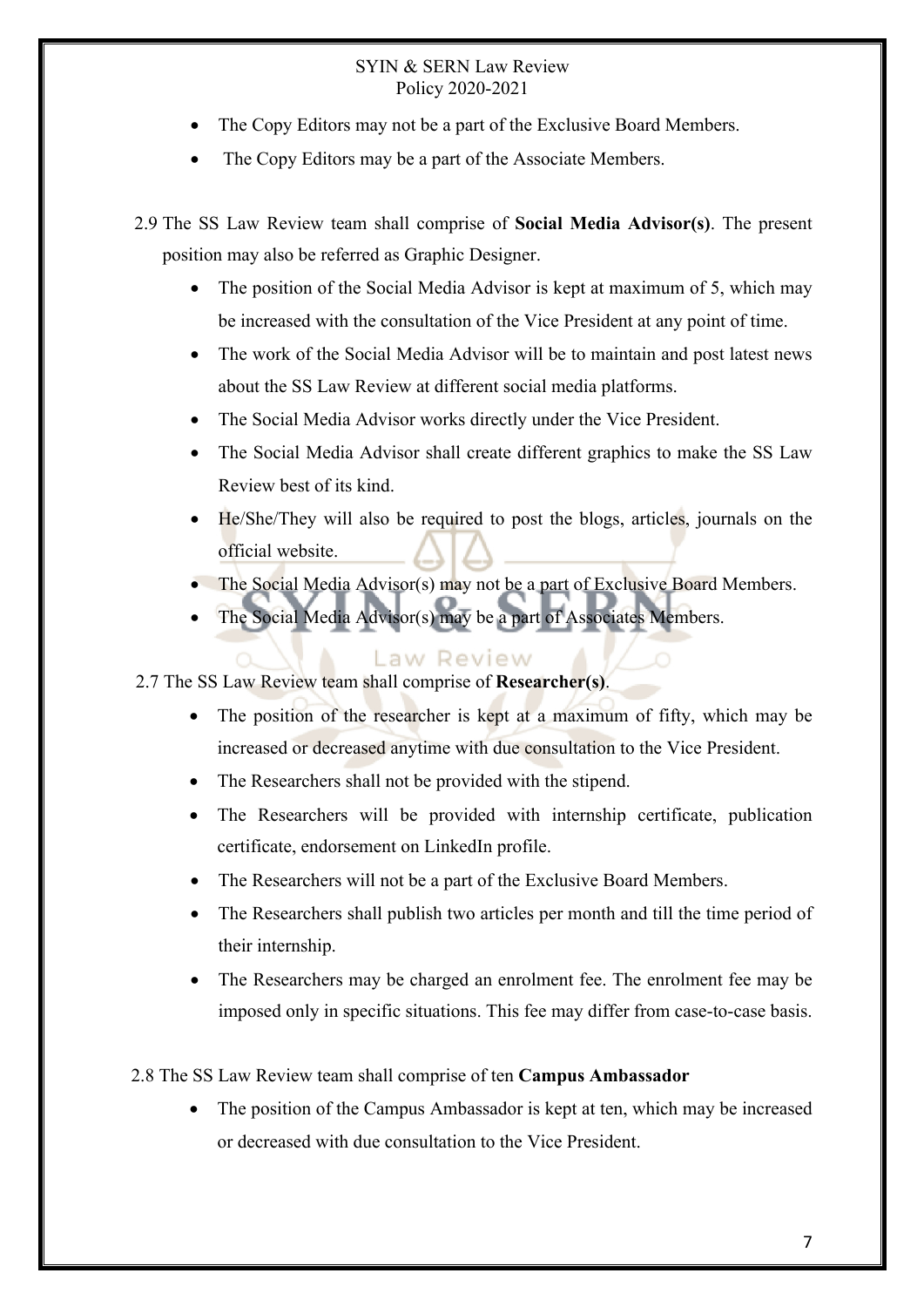- The Copy Editors may not be a part of the Exclusive Board Members.
- The Copy Editors may be a part of the Associate Members.
- 2.9 The SS Law Review team shall comprise of **Social Media Advisor(s)**. The present position may also be referred as Graphic Designer.
	- The position of the Social Media Advisor is kept at maximum of 5, which may be increased with the consultation of the Vice President at any point of time.
	- The work of the Social Media Advisor will be to maintain and post latest news about the SS Law Review at different social media platforms.
	- The Social Media Advisor works directly under the Vice President.
	- The Social Media Advisor shall create different graphics to make the SS Law Review best of its kind.
	- He/She/They will also be required to post the blogs, articles, journals on the official website.
	- The Social Media Advisor(s) may not be a part of Exclusive Board Members.
	- The Social Media Advisor(s) may be a part of Associates Members.

#### Law Review

- 2.7 The SS Law Review team shall comprise of **Researcher(s)**.
	- The position of the researcher is kept at a maximum of fifty, which may be increased or decreased anytime with due consultation to the Vice President.
	- The Researchers shall not be provided with the stipend.
	- The Researchers will be provided with internship certificate, publication certificate, endorsement on LinkedIn profile.
	- The Researchers will not be a part of the Exclusive Board Members.
	- The Researchers shall publish two articles per month and till the time period of their internship.
	- The Researchers may be charged an enrolment fee. The enrolment fee may be imposed only in specific situations. This fee may differ from case-to-case basis.

#### 2.8 The SS Law Review team shall comprise of ten **Campus Ambassador**

The position of the Campus Ambassador is kept at ten, which may be increased or decreased with due consultation to the Vice President.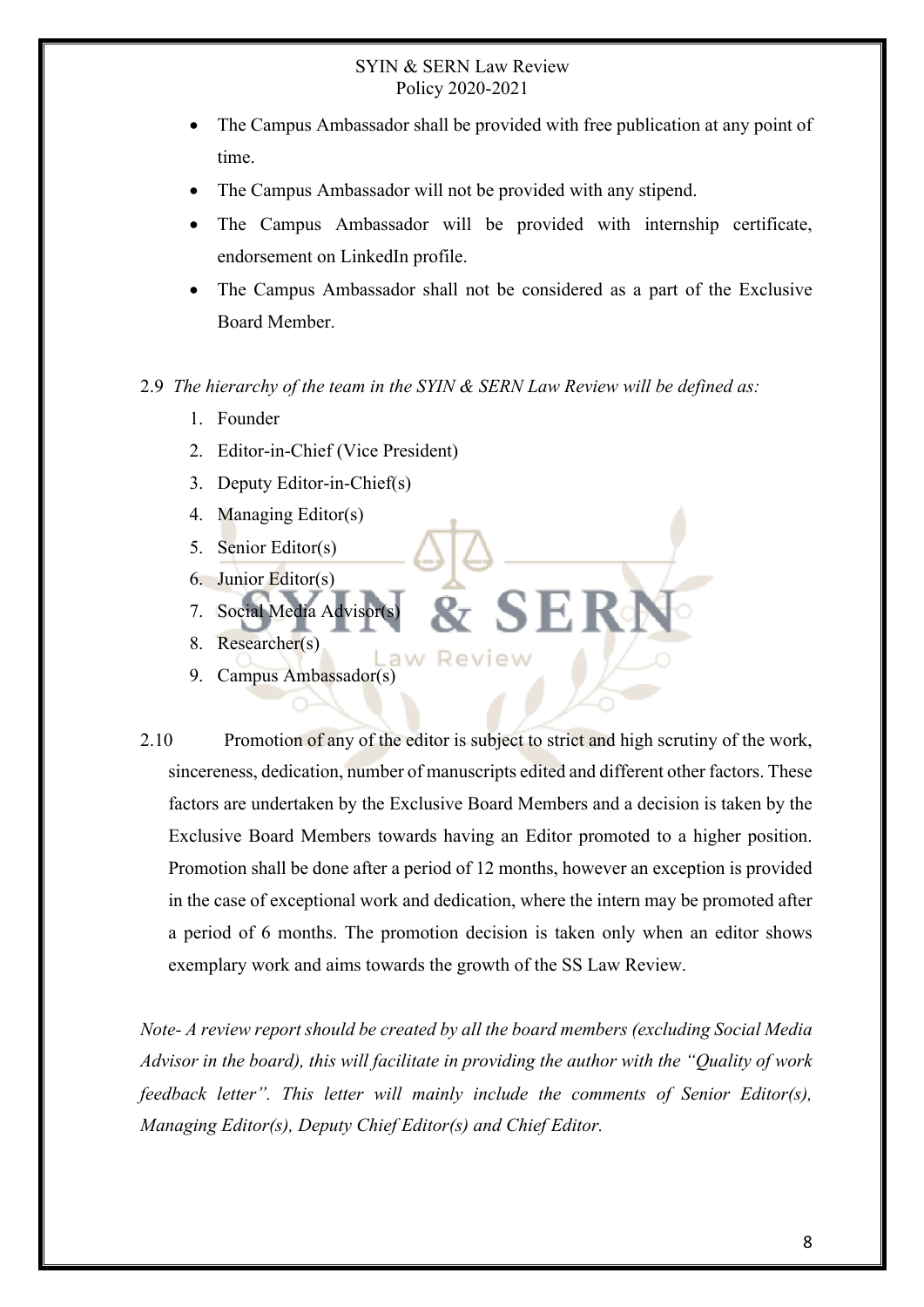- The Campus Ambassador shall be provided with free publication at any point of time.
- The Campus Ambassador will not be provided with any stipend.
- The Campus Ambassador will be provided with internship certificate, endorsement on LinkedIn profile.
- The Campus Ambassador shall not be considered as a part of the Exclusive Board Member.

#### 2.9 *The hierarchy of the team in the SYIN & SERN Law Review will be defined as:*

- 1. Founder
- 2. Editor-in-Chief (Vice President)
- 3. Deputy Editor-in-Chief(s)
- 4. Managing Editor(s)
- 5. Senior Editor(s)
- 6. Junior Editor(s)
- 7. Social Media Advisor
- 8. Researcher(s)
- aw Review 9. Campus Ambassador(s)
- 2.10 Promotion of any of the editor is subject to strict and high scrutiny of the work, sincereness, dedication, number of manuscripts edited and different other factors. These factors are undertaken by the Exclusive Board Members and a decision is taken by the Exclusive Board Members towards having an Editor promoted to a higher position. Promotion shall be done after a period of 12 months, however an exception is provided in the case of exceptional work and dedication, where the intern may be promoted after a period of 6 months. The promotion decision is taken only when an editor shows exemplary work and aims towards the growth of the SS Law Review.

*Note- A review report should be created by all the board members (excluding Social Media Advisor in the board), this will facilitate in providing the author with the "Quality of work feedback letter". This letter will mainly include the comments of Senior Editor(s), Managing Editor(s), Deputy Chief Editor(s) and Chief Editor.*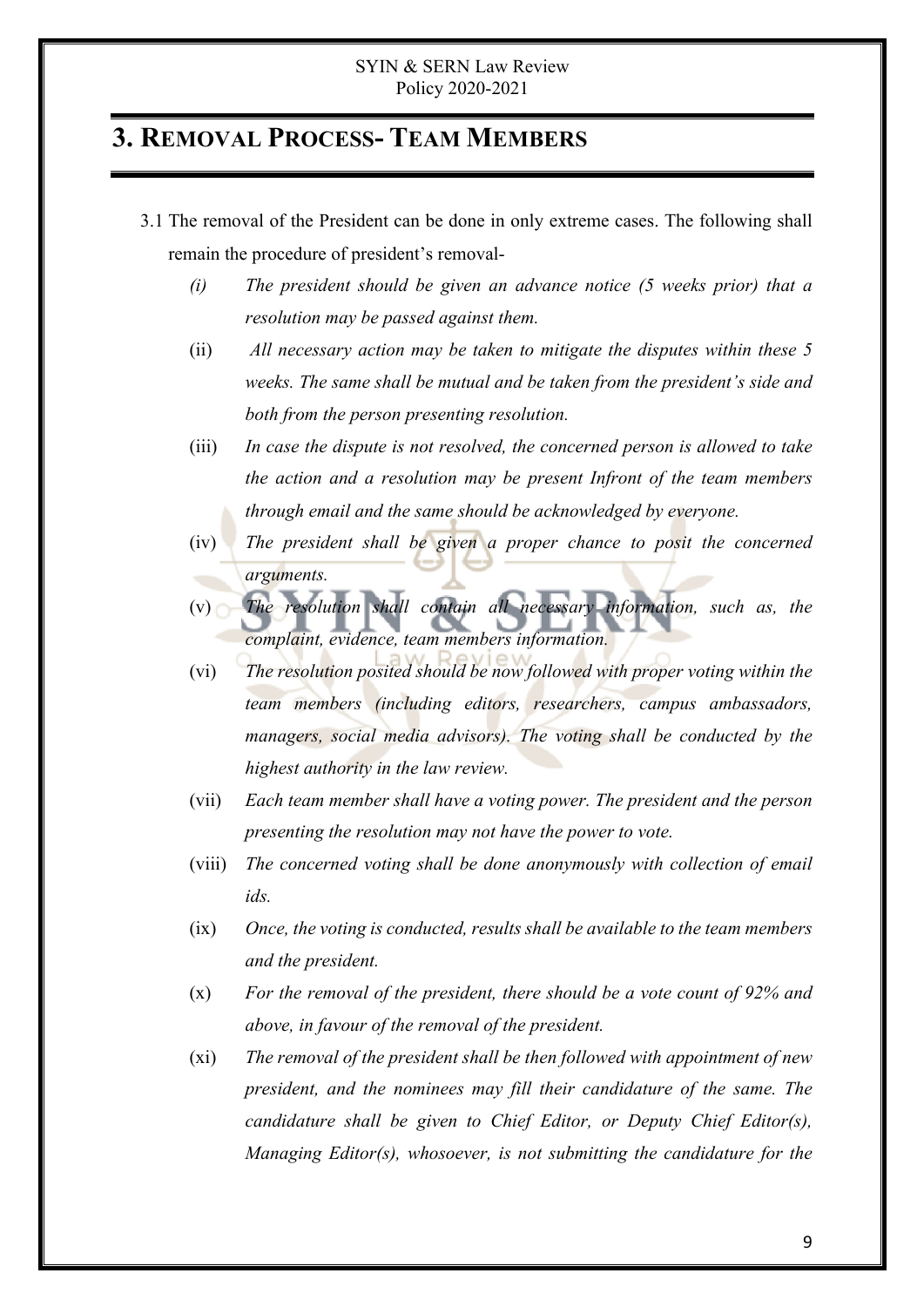### **3. REMOVAL PROCESS- TEAM MEMBERS**

- 3.1 The removal of the President can be done in only extreme cases. The following shall remain the procedure of president's removal-
	- *(i) The president should be given an advance notice (5 weeks prior) that a resolution may be passed against them.*
	- (ii) *All necessary action may be taken to mitigate the disputes within these 5 weeks. The same shall be mutual and be taken from the president's side and both from the person presenting resolution.*
	- (iii) *In case the dispute is not resolved, the concerned person is allowed to take the action and a resolution may be present Infront of the team members through email and the same should be acknowledged by everyone.*
	- (iv) *The president shall be given a proper chance to posit the concerned arguments.*
	- (v) *The resolution shall contain all necessary information, such as, the complaint, evidence, team members information.*
	- (vi) *The resolution posited should be now followed with proper voting within the team members (including editors, researchers, campus ambassadors, managers, social media advisors). The voting shall be conducted by the highest authority in the law review.*
	- (vii) *Each team member shall have a voting power. The president and the person presenting the resolution may not have the power to vote.*
	- (viii) *The concerned voting shall be done anonymously with collection of email ids.*
	- (ix) *Once, the voting is conducted, results shall be available to the team members and the president.*
	- (x) *For the removal of the president, there should be a vote count of 92% and above, in favour of the removal of the president.*
	- (xi) *The removal of the president shall be then followed with appointment of new president, and the nominees may fill their candidature of the same. The candidature shall be given to Chief Editor, or Deputy Chief Editor(s), Managing Editor(s), whosoever, is not submitting the candidature for the*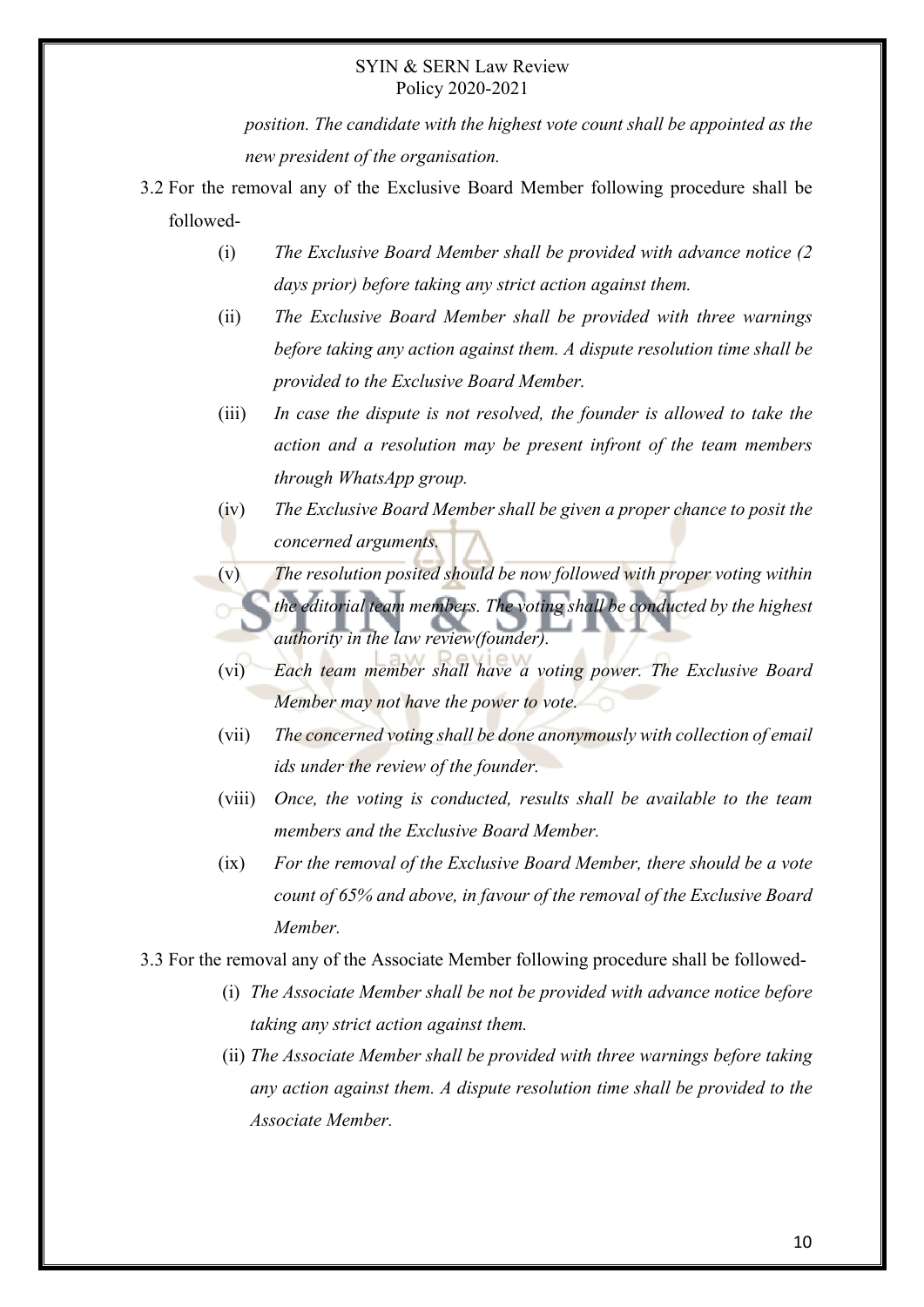*position. The candidate with the highest vote count shall be appointed as the new president of the organisation.* 

- 3.2 For the removal any of the Exclusive Board Member following procedure shall be followed-
	- (i) *The Exclusive Board Member shall be provided with advance notice (2 days prior) before taking any strict action against them.*
	- (ii) *The Exclusive Board Member shall be provided with three warnings before taking any action against them. A dispute resolution time shall be provided to the Exclusive Board Member.*
	- (iii) *In case the dispute is not resolved, the founder is allowed to take the action and a resolution may be present infront of the team members through WhatsApp group.*
	- (iv) *The Exclusive Board Member shall be given a proper chance to posit the concerned arguments.*
	- (v) *The resolution posited should be now followed with proper voting within the editorial team members. The voting shall be conducted by the highest authority in the law review(founder).*
	- (vi) *Each team member shall have a voting power. The Exclusive Board Member may not have the power to vote.*
	- (vii) *The concerned voting shall be done anonymously with collection of email ids under the review of the founder.*
	- (viii) *Once, the voting is conducted, results shall be available to the team members and the Exclusive Board Member.*
	- (ix) *For the removal of the Exclusive Board Member, there should be a vote count of 65% and above, in favour of the removal of the Exclusive Board Member.*
- 3.3 For the removal any of the Associate Member following procedure shall be followed-
	- (i) *The Associate Member shall be not be provided with advance notice before taking any strict action against them.*
	- (ii) *The Associate Member shall be provided with three warnings before taking any action against them. A dispute resolution time shall be provided to the Associate Member.*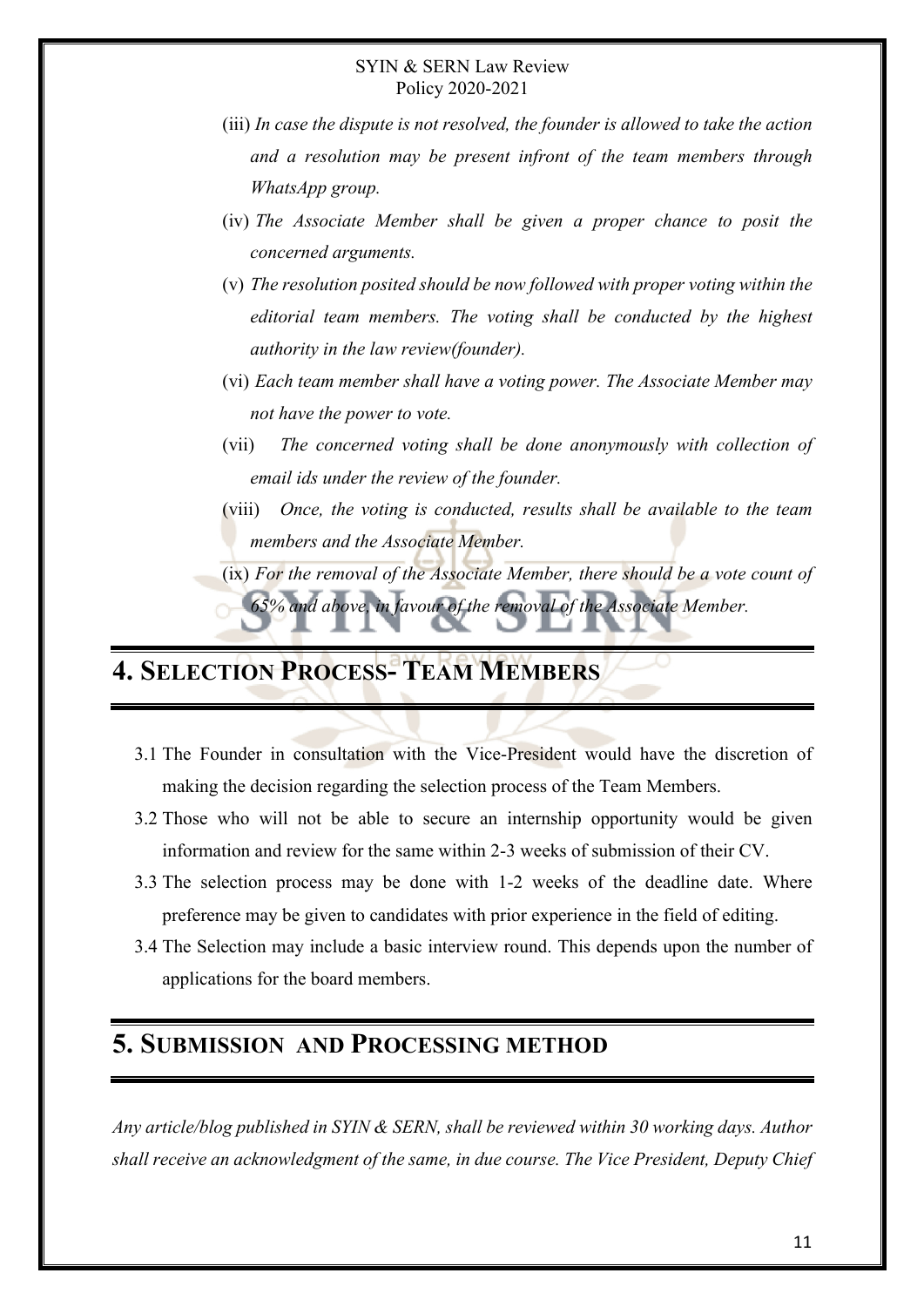- (iii) *In case the dispute is not resolved, the founder is allowed to take the action and a resolution may be present infront of the team members through WhatsApp group.*
- (iv) *The Associate Member shall be given a proper chance to posit the concerned arguments.*
- (v) *The resolution posited should be now followed with proper voting within the editorial team members. The voting shall be conducted by the highest authority in the law review(founder).*
- (vi) *Each team member shall have a voting power. The Associate Member may not have the power to vote.*
- (vii) *The concerned voting shall be done anonymously with collection of email ids under the review of the founder.*
- (viii) *Once, the voting is conducted, results shall be available to the team members and the Associate Member.*
- (ix) *For the removal of the Associate Member, there should be a vote count of 65% and above, in favour of the removal of the Associate Member.*

# **4. SELECTION PROCESS- TEAM MEMBERS**

- 3.1 The Founder in consultation with the Vice-President would have the discretion of making the decision regarding the selection process of the Team Members.
- 3.2 Those who will not be able to secure an internship opportunity would be given information and review for the same within 2-3 weeks of submission of their CV.
- 3.3 The selection process may be done with 1-2 weeks of the deadline date. Where preference may be given to candidates with prior experience in the field of editing.
- 3.4 The Selection may include a basic interview round. This depends upon the number of applications for the board members.

### **5. SUBMISSION AND PROCESSING METHOD**

*Any article/blog published in SYIN & SERN, shall be reviewed within 30 working days. Author shall receive an acknowledgment of the same, in due course. The Vice President, Deputy Chief*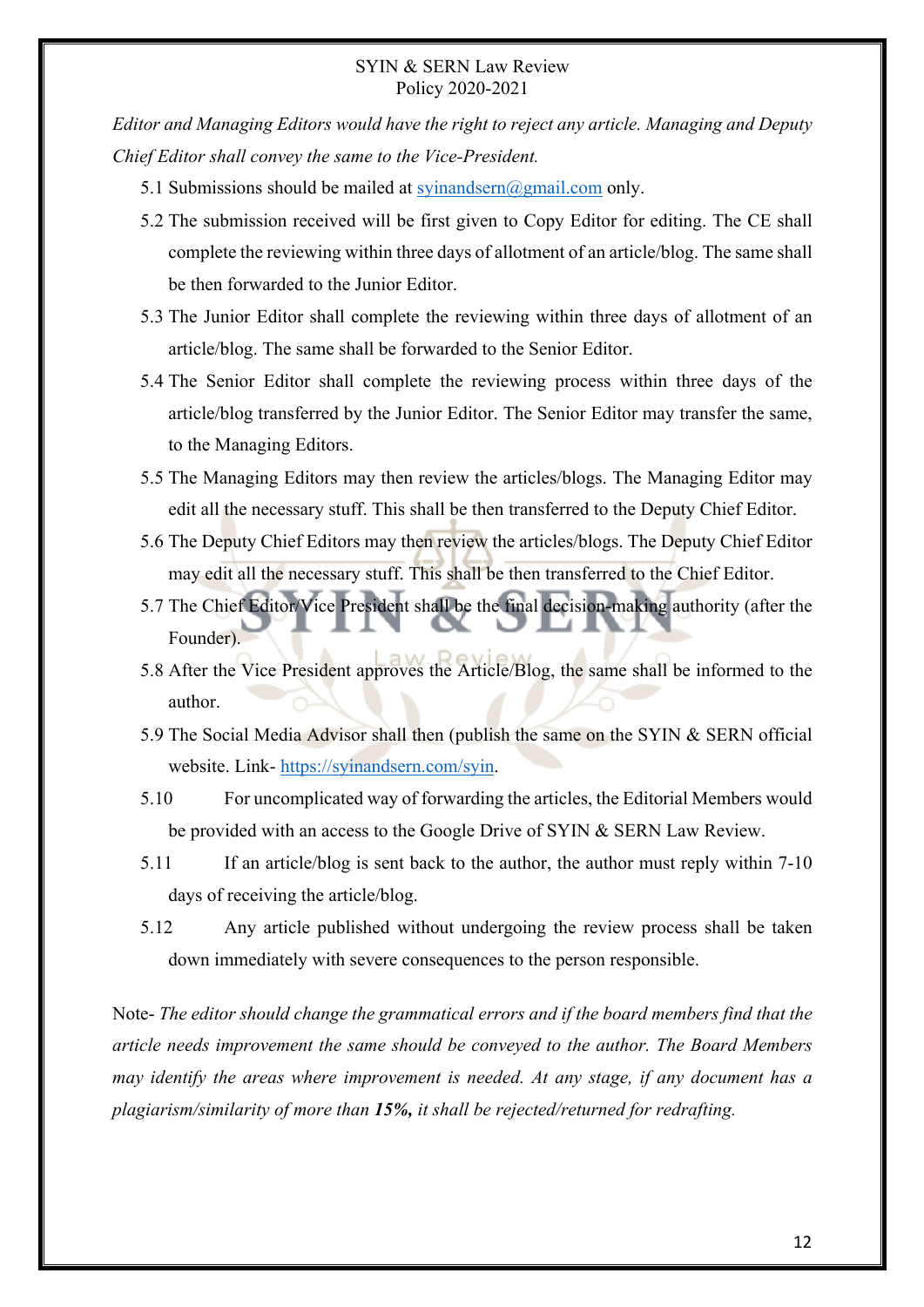*Editor and Managing Editors would have the right to reject any article. Managing and Deputy Chief Editor shall convey the same to the Vice-President.*

- 5.1 Submissions should be mailed at  $\frac{\text{cylinder}}{\text{cylinder}}$   $\frac{\text{cylinder}}{\text{cylinder}}$  only.
- 5.2 The submission received will be first given to Copy Editor for editing. The CE shall complete the reviewing within three days of allotment of an article/blog. The same shall be then forwarded to the Junior Editor.
- 5.3 The Junior Editor shall complete the reviewing within three days of allotment of an article/blog. The same shall be forwarded to the Senior Editor.
- 5.4 The Senior Editor shall complete the reviewing process within three days of the article/blog transferred by the Junior Editor. The Senior Editor may transfer the same, to the Managing Editors.
- 5.5 The Managing Editors may then review the articles/blogs. The Managing Editor may edit all the necessary stuff. This shall be then transferred to the Deputy Chief Editor.
- 5.6 The Deputy Chief Editors may then review the articles/blogs. The Deputy Chief Editor may edit all the necessary stuff. This shall be then transferred to the Chief Editor.
- 5.7 The Chief Editor/Vice President shall be the final decision-making authority (after the Founder).
- 5.8 After the Vice President approves the Article/Blog, the same shall be informed to the author.
- 5.9 The Social Media Advisor shall then (publish the same on the SYIN & SERN official website. Link- https://syinandsern.com/syin.
- 5.10 For uncomplicated way of forwarding the articles, the Editorial Members would be provided with an access to the Google Drive of SYIN & SERN Law Review.
- 5.11 If an article/blog is sent back to the author, the author must reply within 7-10 days of receiving the article/blog.
- 5.12 Any article published without undergoing the review process shall be taken down immediately with severe consequences to the person responsible.

Note- *The editor should change the grammatical errors and if the board members find that the article needs improvement the same should be conveyed to the author. The Board Members may identify the areas where improvement is needed. At any stage, if any document has a plagiarism/similarity of more than 15%, it shall be rejected/returned for redrafting.*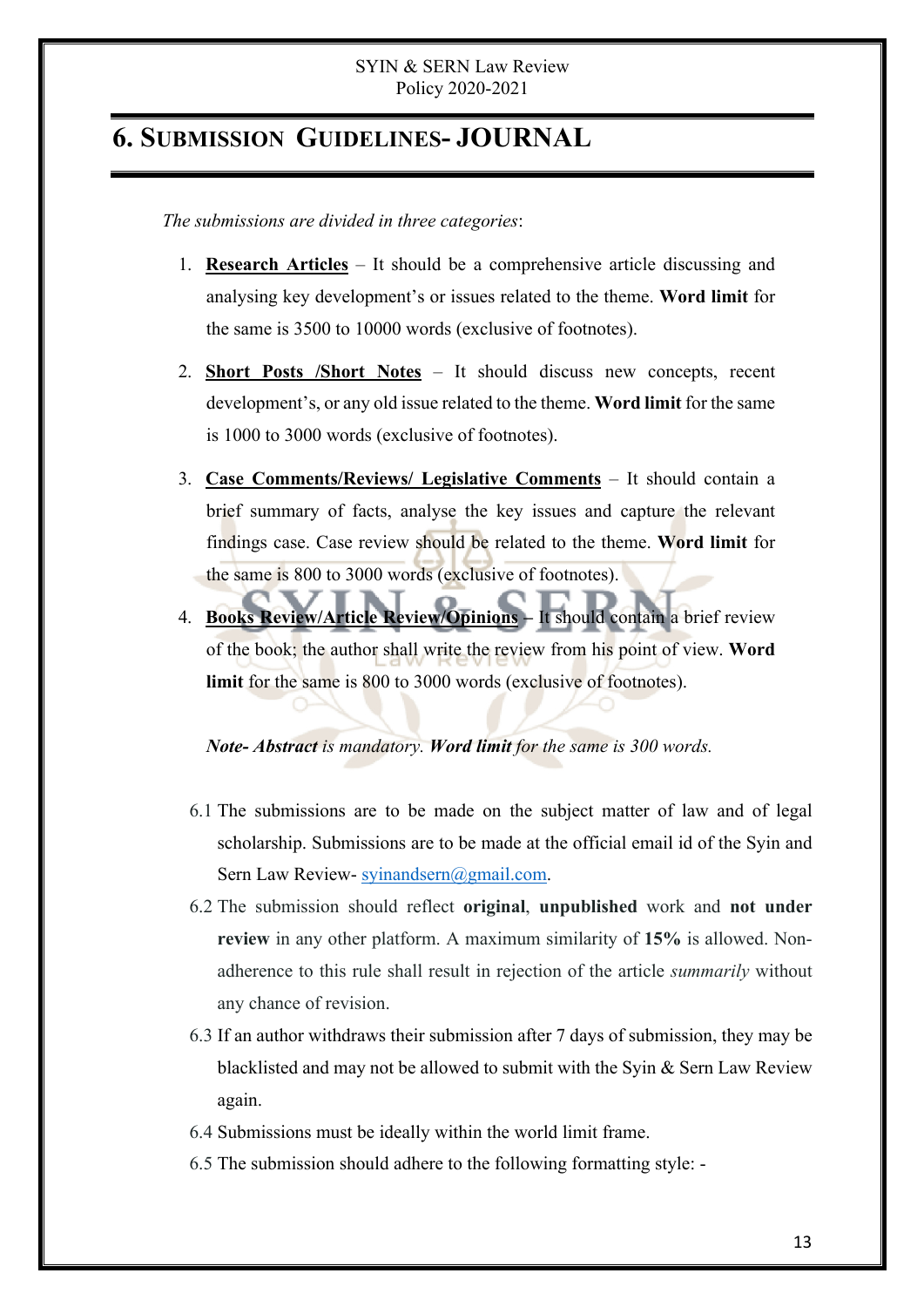## **6. SUBMISSION GUIDELINES- JOURNAL**

*The submissions are divided in three categories*:

- 1. **Research Articles** It should be a comprehensive article discussing and analysing key development's or issues related to the theme. **Word limit** for the same is 3500 to 10000 words (exclusive of footnotes).
- 2. **Short Posts /Short Notes** It should discuss new concepts, recent development's, or any old issue related to the theme. **Word limit** for the same is 1000 to 3000 words (exclusive of footnotes).
- 3. **Case Comments/Reviews/ Legislative Comments** It should contain a brief summary of facts, analyse the key issues and capture the relevant findings case. Case review should be related to the theme. **Word limit** for the same is 800 to 3000 words (exclusive of footnotes).
- 4. **Books Review/Article Review/Opinions –** It should contain a brief review of the book; the author shall write the review from his point of view. **Word limit** for the same is 800 to 3000 words (exclusive of footnotes).

#### *Note- Abstract is mandatory. Word limit for the same is 300 words.*

- 6.1 The submissions are to be made on the subject matter of law and of legal scholarship. Submissions are to be made at the official email id of the Syin and Sern Law Review- syinandsern@gmail.com.
- 6.2 The submission should reflect **original**, **unpublished** work and **not under review** in any other platform. A maximum similarity of **15%** is allowed. Nonadherence to this rule shall result in rejection of the article *summarily* without any chance of revision.
- 6.3 If an author withdraws their submission after 7 days of submission, they may be blacklisted and may not be allowed to submit with the Syin & Sern Law Review again.
- 6.4 Submissions must be ideally within the world limit frame.
- 6.5 The submission should adhere to the following formatting style: -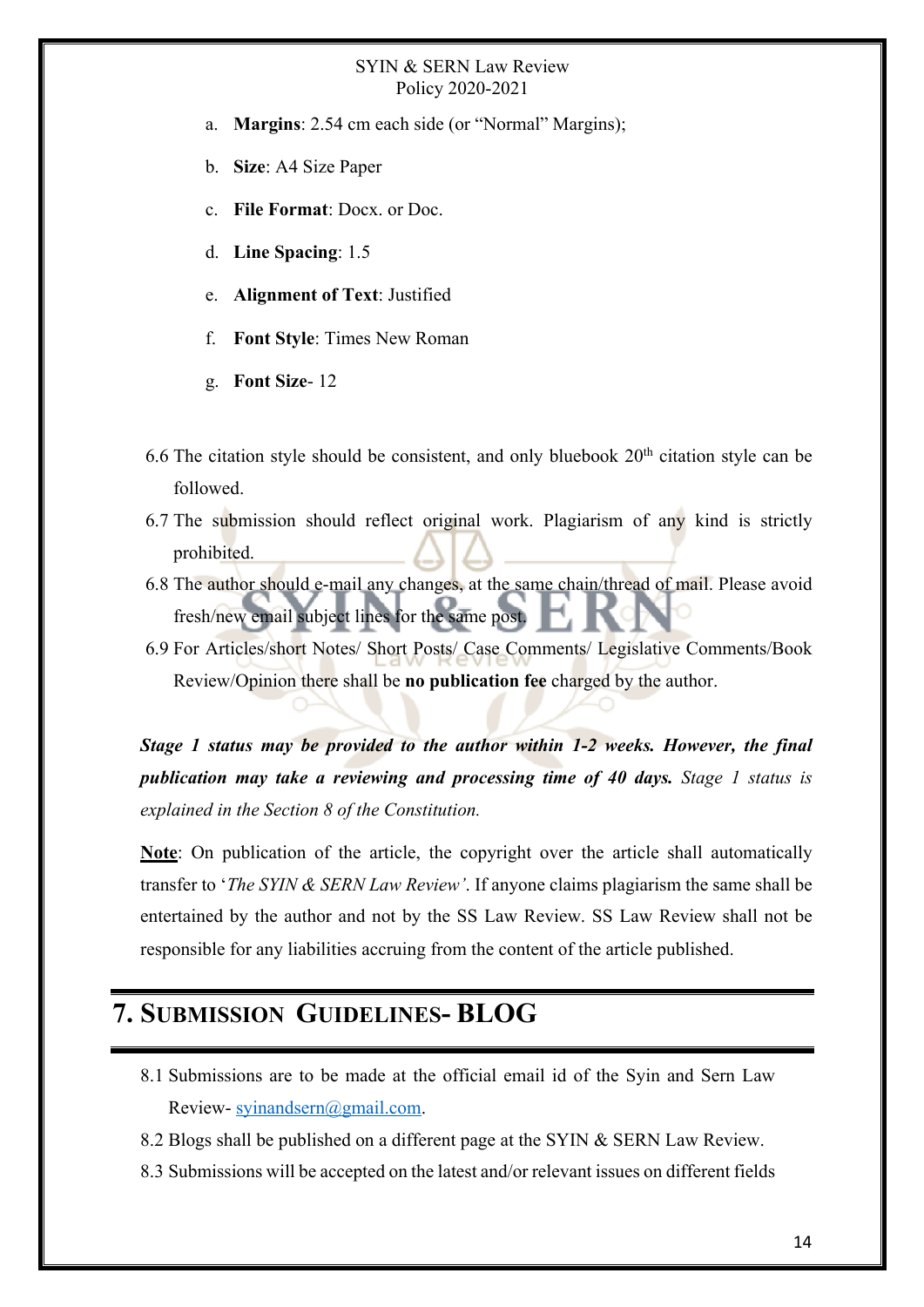- a. **Margins**: 2.54 cm each side (or "Normal" Margins);
- b. **Size**: A4 Size Paper
- c. **File Format**: Docx. or Doc.
- d. **Line Spacing**: 1.5
- e. **Alignment of Text**: Justified
- f. **Font Style**: Times New Roman
- g. **Font Size** 12
- 6.6 The citation style should be consistent, and only bluebook  $20<sup>th</sup>$  citation style can be followed.
- 6.7 The submission should reflect original work. Plagiarism of any kind is strictly prohibited.
- 6.8 The author should e-mail any changes, at the same chain/thread of mail. Please avoid fresh/new email subject lines for the same post.
- 6.9 For Articles/short Notes/ Short Posts/ Case Comments/ Legislative Comments/Book Review/Opinion there shall be **no publication fee** charged by the author.

*Stage 1 status may be provided to the author within 1-2 weeks. However, the final publication may take a reviewing and processing time of 40 days. Stage 1 status is explained in the Section 8 of the Constitution.* 

**Note**: On publication of the article, the copyright over the article shall automatically transfer to '*The SYIN & SERN Law Review'*. If anyone claims plagiarism the same shall be entertained by the author and not by the SS Law Review. SS Law Review shall not be responsible for any liabilities accruing from the content of the article published.

## **7. SUBMISSION GUIDELINES- BLOG**

- 8.1 Submissions are to be made at the official email id of the Syin and Sern Law Review- syinandsern@gmail.com.
- 8.2 Blogs shall be published on a different page at the SYIN & SERN Law Review.
- 8.3 Submissions will be accepted on the latest and/or relevant issues on different fields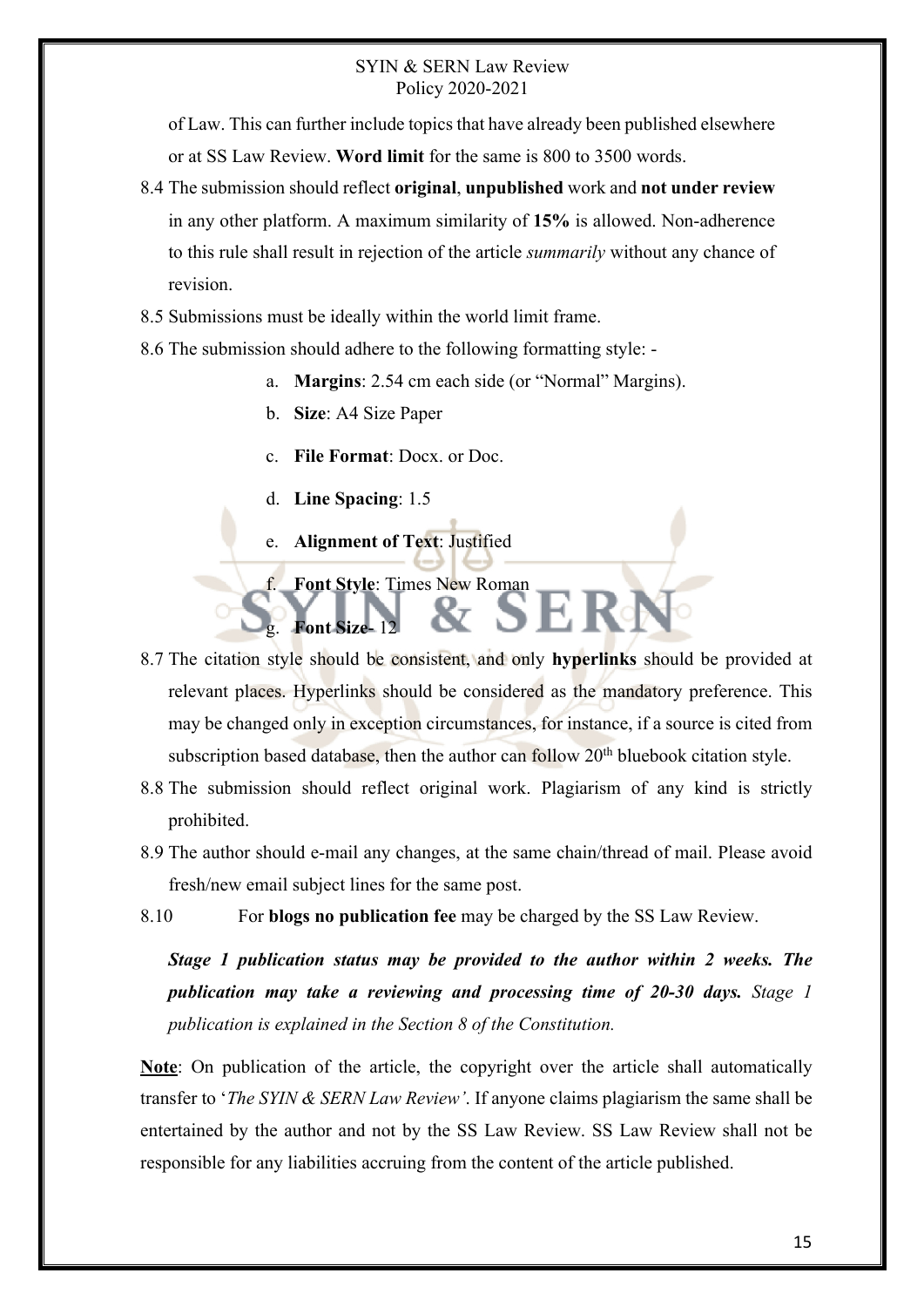of Law. This can further include topics that have already been published elsewhere or at SS Law Review. **Word limit** for the same is 800 to 3500 words.

- 8.4 The submission should reflect **original**, **unpublished** work and **not under review**  in any other platform. A maximum similarity of **15%** is allowed. Non-adherence to this rule shall result in rejection of the article *summarily* without any chance of revision.
- 8.5 Submissions must be ideally within the world limit frame.
- 8.6 The submission should adhere to the following formatting style:
	- a. **Margins**: 2.54 cm each side (or "Normal" Margins).
	- b. **Size**: A4 Size Paper
	- c. **File Format**: Docx. or Doc.
	- d. **Line Spacing**: 1.5

g. **Font Size**- 12

- e. **Alignment of Text**: Justified
- **Font Style: Times New Roman**
- 8.7 The citation style should be consistent, and only **hyperlinks** should be provided at relevant places. Hyperlinks should be considered as the mandatory preference. This may be changed only in exception circumstances, for instance, if a source is cited from subscription based database, then the author can follow  $20<sup>th</sup>$  bluebook citation style.
- 8.8 The submission should reflect original work. Plagiarism of any kind is strictly prohibited.
- 8.9 The author should e-mail any changes, at the same chain/thread of mail. Please avoid fresh/new email subject lines for the same post.
- 8.10 For **blogs no publication fee** may be charged by the SS Law Review.

*Stage 1 publication status may be provided to the author within 2 weeks. The publication may take a reviewing and processing time of 20-30 days. Stage 1 publication is explained in the Section 8 of the Constitution.* 

**Note**: On publication of the article, the copyright over the article shall automatically transfer to '*The SYIN & SERN Law Review'*. If anyone claims plagiarism the same shall be entertained by the author and not by the SS Law Review. SS Law Review shall not be responsible for any liabilities accruing from the content of the article published.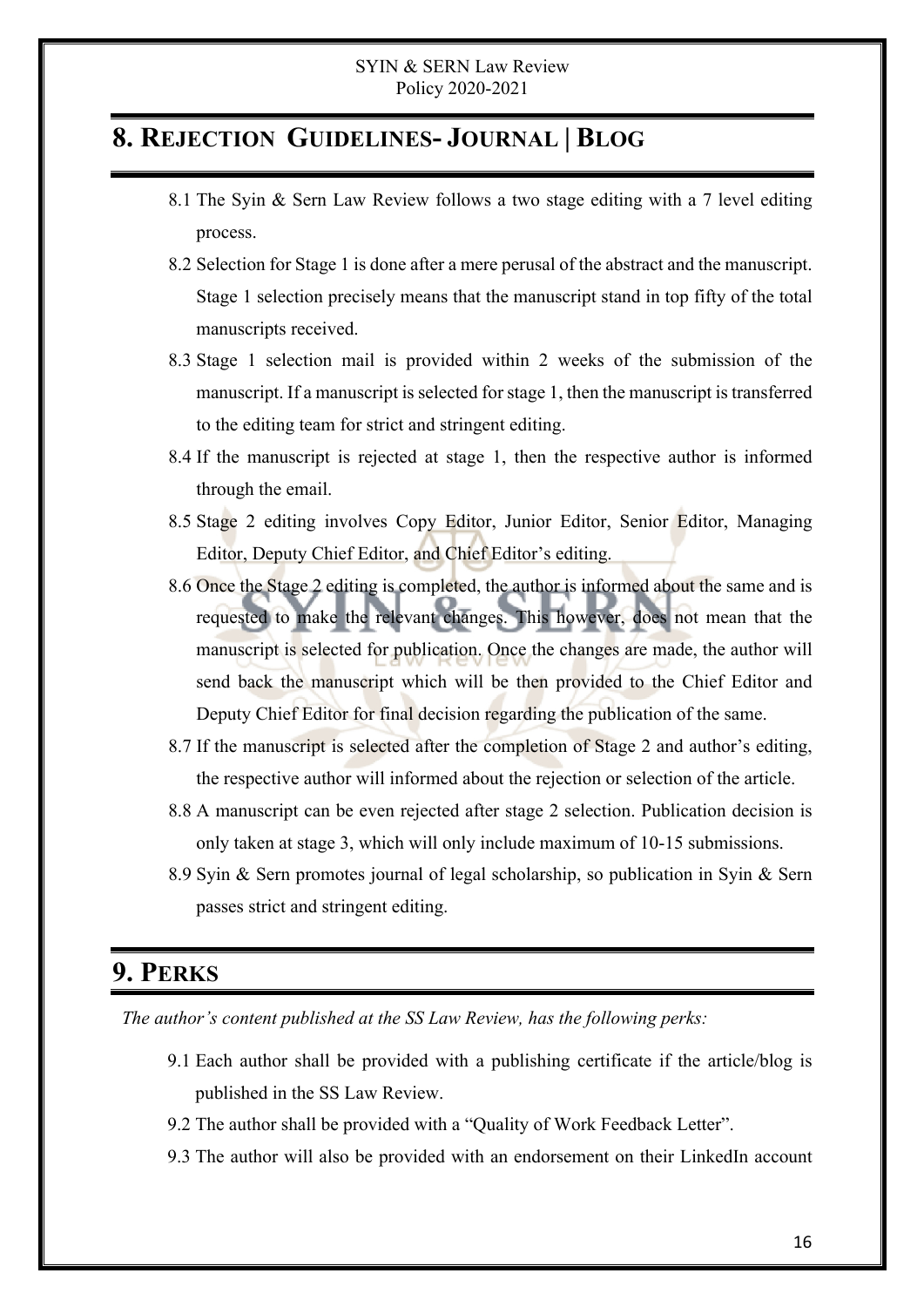## **8. REJECTION GUIDELINES- JOURNAL | BLOG**

- 8.1 The Syin & Sern Law Review follows a two stage editing with a 7 level editing process.
- 8.2 Selection for Stage 1 is done after a mere perusal of the abstract and the manuscript. Stage 1 selection precisely means that the manuscript stand in top fifty of the total manuscripts received.
- 8.3 Stage 1 selection mail is provided within 2 weeks of the submission of the manuscript. If a manuscript is selected for stage 1, then the manuscript is transferred to the editing team for strict and stringent editing.
- 8.4 If the manuscript is rejected at stage 1, then the respective author is informed through the email.
- 8.5 Stage 2 editing involves Copy Editor, Junior Editor, Senior Editor, Managing Editor, Deputy Chief Editor, and Chief Editor's editing.
- 8.6 Once the Stage 2 editing is completed, the author is informed about the same and is requested to make the relevant changes. This however, does not mean that the manuscript is selected for publication. Once the changes are made, the author will send back the manuscript which will be then provided to the Chief Editor and Deputy Chief Editor for final decision regarding the publication of the same.
- 8.7 If the manuscript is selected after the completion of Stage 2 and author's editing, the respective author will informed about the rejection or selection of the article.
- 8.8 A manuscript can be even rejected after stage 2 selection. Publication decision is only taken at stage 3, which will only include maximum of 10-15 submissions.
- 8.9 Syin & Sern promotes journal of legal scholarship, so publication in Syin & Sern passes strict and stringent editing.

## **9. PERKS**

 *The author's content published at the SS Law Review, has the following perks:*

- 9.1 Each author shall be provided with a publishing certificate if the article/blog is published in the SS Law Review.
- 9.2 The author shall be provided with a "Quality of Work Feedback Letter".
- 9.3 The author will also be provided with an endorsement on their LinkedIn account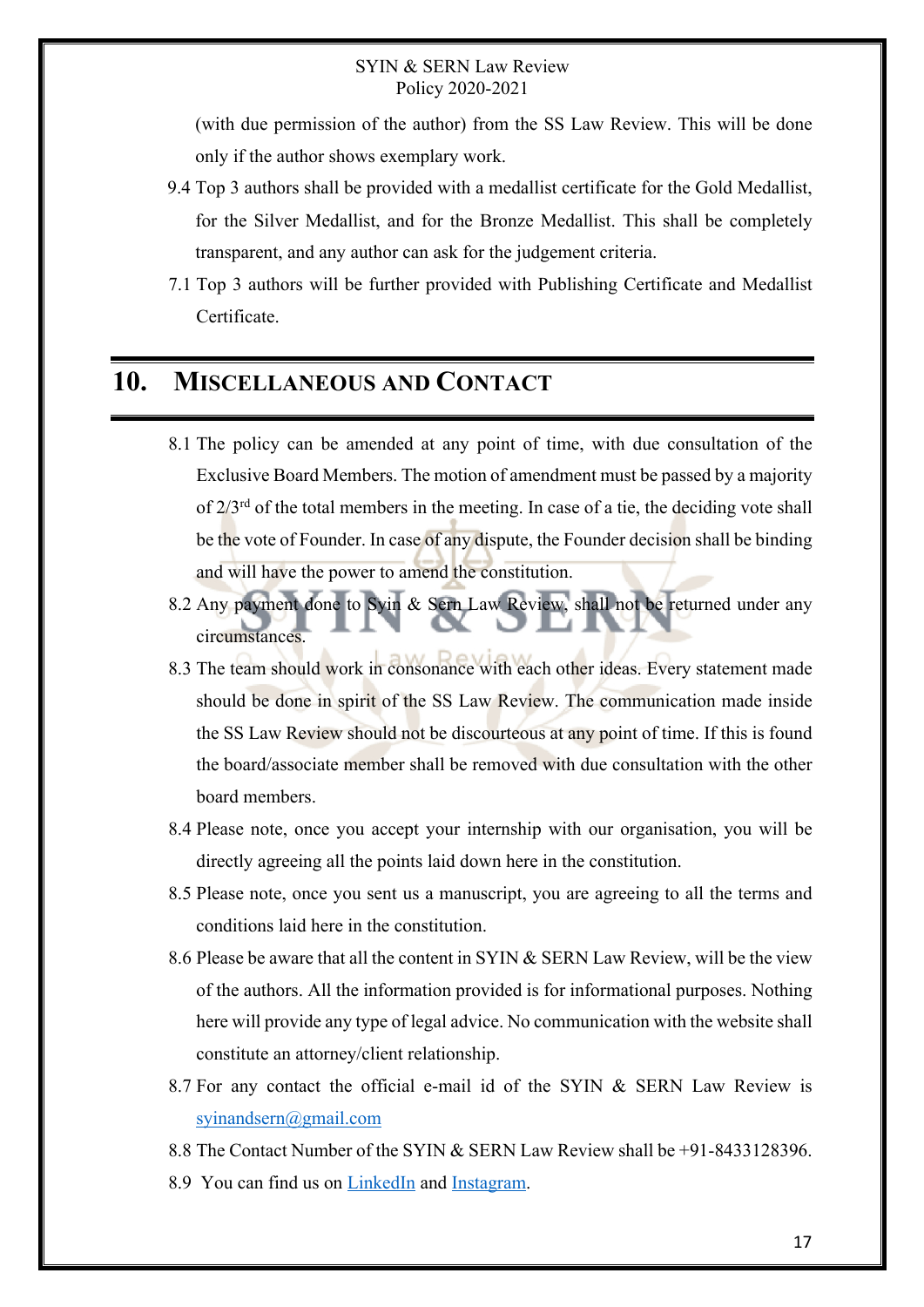(with due permission of the author) from the SS Law Review. This will be done only if the author shows exemplary work.

- 9.4 Top 3 authors shall be provided with a medallist certificate for the Gold Medallist, for the Silver Medallist, and for the Bronze Medallist. This shall be completely transparent, and any author can ask for the judgement criteria.
- 7.1 Top 3 authors will be further provided with Publishing Certificate and Medallist Certificate.

### **10. MISCELLANEOUS AND CONTACT**

- 8.1 The policy can be amended at any point of time, with due consultation of the Exclusive Board Members. The motion of amendment must be passed by a majority of 2/3rd of the total members in the meeting. In case of a tie, the deciding vote shall be the vote of Founder. In case of any dispute, the Founder decision shall be binding and will have the power to amend the constitution.
- 8.2 Any payment done to Syin & Sern Law Review, shall not be returned under any circumstances.
- 8.3 The team should work in consonance with each other ideas. Every statement made should be done in spirit of the SS Law Review. The communication made inside the SS Law Review should not be discourteous at any point of time. If this is found the board/associate member shall be removed with due consultation with the other board members.
- 8.4 Please note, once you accept your internship with our organisation, you will be directly agreeing all the points laid down here in the constitution.
- 8.5 Please note, once you sent us a manuscript, you are agreeing to all the terms and conditions laid here in the constitution.
- 8.6 Please be aware that all the content in SYIN & SERN Law Review, will be the view of the authors. All the information provided is for informational purposes. Nothing here will provide any type of legal advice. No communication with the website shall constitute an attorney/client relationship.
- 8.7 For any contact the official e-mail id of the SYIN & SERN Law Review is syinandsern@gmail.com
- 8.8 The Contact Number of the SYIN & SERN Law Review shall be +91-8433128396.
- 8.9 You can find us on LinkedIn and Instagram.